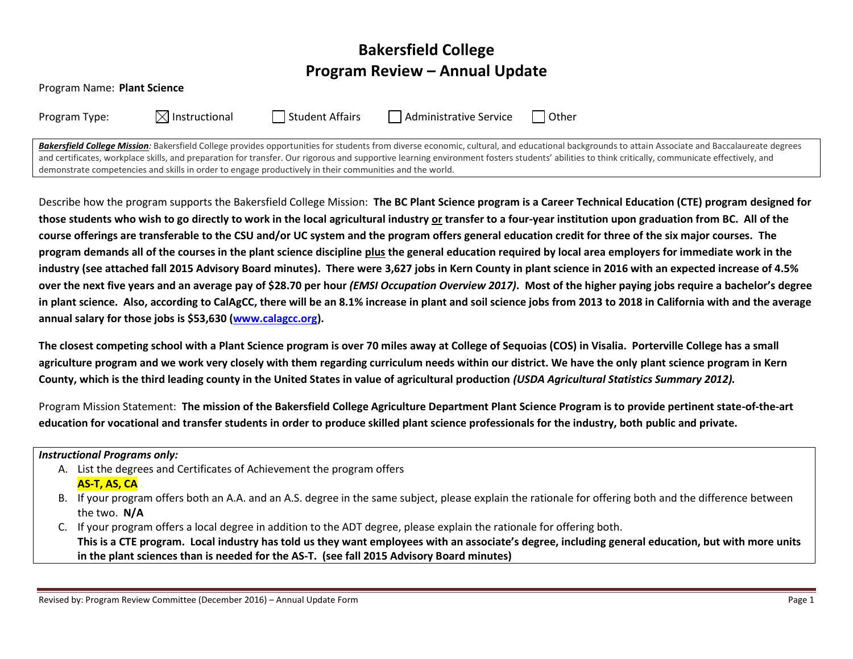# **Bakersfield College Program Review – Annual Update**

| Program Name: Plant Science |  |
|-----------------------------|--|
|-----------------------------|--|

| Program Type: |  |
|---------------|--|
|               |  |

 $\boxtimes$  Instructional  $\Box$  Student Affairs  $\Box$  Administrative Service  $\Box$  Other

Bakersfield College Mission: Bakersfield College provides opportunities for students from diverse economic, cultural, and educational backgrounds to attain Associate and Baccalaureate degrees and certificates, workplace skills, and preparation for transfer. Our rigorous and supportive learning environment fosters students' abilities to think critically, communicate effectively, and demonstrate competencies and skills in order to engage productively in their communities and the world.

Describe how the program supports the Bakersfield College Mission: **The BC Plant Science program is a Career Technical Education (CTE) program designed for those students who wish to go directly to work in the local agricultural industry or transfer to a four-year institution upon graduation from BC. All of the course offerings are transferable to the CSU and/or UC system and the program offers general education credit for three of the six major courses. The program demands all of the courses in the plant science discipline plus the general education required by local area employers for immediate work in the industry (see attached fall 2015 Advisory Board minutes). There were 3,627 jobs in Kern County in plant science in 2016 with an expected increase of 4.5% over the next five years and an average pay of \$28.70 per hour** *(EMSI Occupation Overview 2017)***. Most of the higher paying jobs require a bachelor's degree in plant science. Also, according to CalAgCC, there will be an 8.1% increase in plant and soil science jobs from 2013 to 2018 in California with and the average annual salary for those jobs is \$53,630 [\(www.calagcc.org\)](http://www.calagcc.org/).** 

**The closest competing school with a Plant Science program is over 70 miles away at College of Sequoias (COS) in Visalia. Porterville College has a small agriculture program and we work very closely with them regarding curriculum needs within our district. We have the only plant science program in Kern County, which is the third leading county in the United States in value of agricultural production** *(USDA Agricultural Statistics Summary 2012).* 

Program Mission Statement: **The mission of the Bakersfield College Agriculture Department Plant Science Program is to provide pertinent state-of-the-art education for vocational and transfer students in order to produce skilled plant science professionals for the industry, both public and private.** 

#### *Instructional Programs only:*

- A. List the degrees and Certificates of Achievement the program offers **AS-T, AS, CA**
- B. If your program offers both an A.A. and an A.S. degree in the same subject, please explain the rationale for offering both and the difference between the two. **N/A**
- C. If your program offers a local degree in addition to the ADT degree, please explain the rationale for offering both. **This is a CTE program. Local industry has told us they want employees with an associate's degree, including general education, but with more units in the plant sciences than is needed for the AS-T. (see fall 2015 Advisory Board minutes)**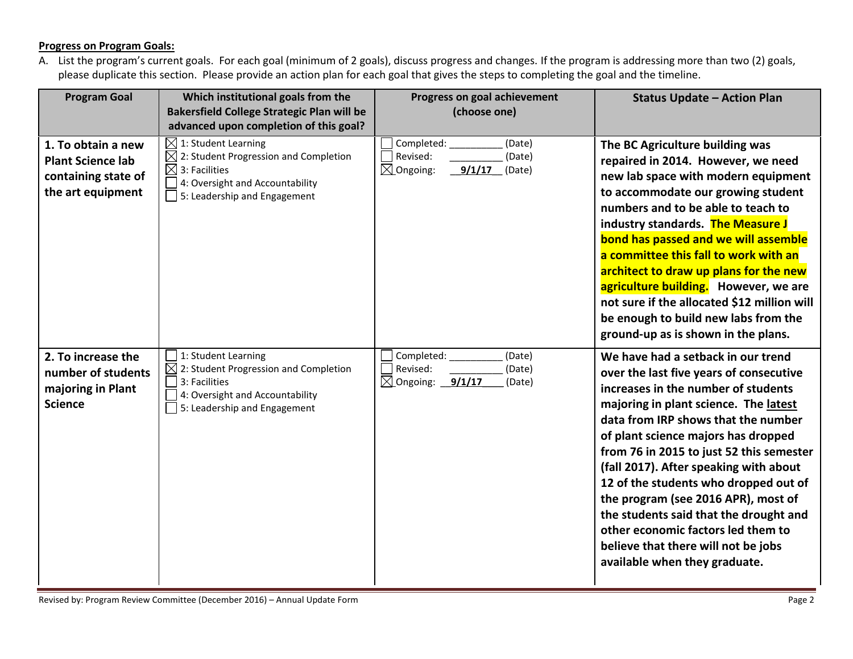## **Progress on Program Goals:**

A. List the program's current goals. For each goal (minimum of 2 goals), discuss progress and changes. If the program is addressing more than two (2) goals, please duplicate this section. Please provide an action plan for each goal that gives the steps to completing the goal and the timeline.

| <b>Program Goal</b>                                                                        | Which institutional goals from the<br><b>Bakersfield College Strategic Plan will be</b><br>advanced upon completion of this goal?                                                    | Progress on goal achievement<br>(choose one)                                           | <b>Status Update - Action Plan</b>                                                                                                                                                                                                                                                                                                                                                                                                                                                                                                                                        |
|--------------------------------------------------------------------------------------------|--------------------------------------------------------------------------------------------------------------------------------------------------------------------------------------|----------------------------------------------------------------------------------------|---------------------------------------------------------------------------------------------------------------------------------------------------------------------------------------------------------------------------------------------------------------------------------------------------------------------------------------------------------------------------------------------------------------------------------------------------------------------------------------------------------------------------------------------------------------------------|
| 1. To obtain a new<br><b>Plant Science lab</b><br>containing state of<br>the art equipment | $\boxtimes$ 1: Student Learning<br>$\boxtimes$ 2: Student Progression and Completion<br>$\boxtimes$ 3: Facilities<br>4: Oversight and Accountability<br>5: Leadership and Engagement | Completed:<br>(Date)<br>Revised:<br>(Date)<br>$\boxtimes$ Ongoing:<br>9/1/17<br>(Date) | The BC Agriculture building was<br>repaired in 2014. However, we need<br>new lab space with modern equipment<br>to accommodate our growing student<br>numbers and to be able to teach to<br>industry standards. The Measure J<br>bond has passed and we will assemble<br>a committee this fall to work with an<br>architect to draw up plans for the new<br>agriculture building. However, we are<br>not sure if the allocated \$12 million will<br>be enough to build new labs from the<br>ground-up as is shown in the plans.                                           |
| 2. To increase the<br>number of students<br>majoring in Plant<br><b>Science</b>            | 1: Student Learning<br>2: Student Progression and Completion<br>3: Facilities<br>4: Oversight and Accountability<br>5: Leadership and Engagement                                     | Completed:<br>(Date)<br>Revised:<br>(Date)<br>$\boxtimes$ Ongoing: 9/1/17<br>(Date)    | We have had a setback in our trend<br>over the last five years of consecutive<br>increases in the number of students<br>majoring in plant science. The latest<br>data from IRP shows that the number<br>of plant science majors has dropped<br>from 76 in 2015 to just 52 this semester<br>(fall 2017). After speaking with about<br>12 of the students who dropped out of<br>the program (see 2016 APR), most of<br>the students said that the drought and<br>other economic factors led them to<br>believe that there will not be jobs<br>available when they graduate. |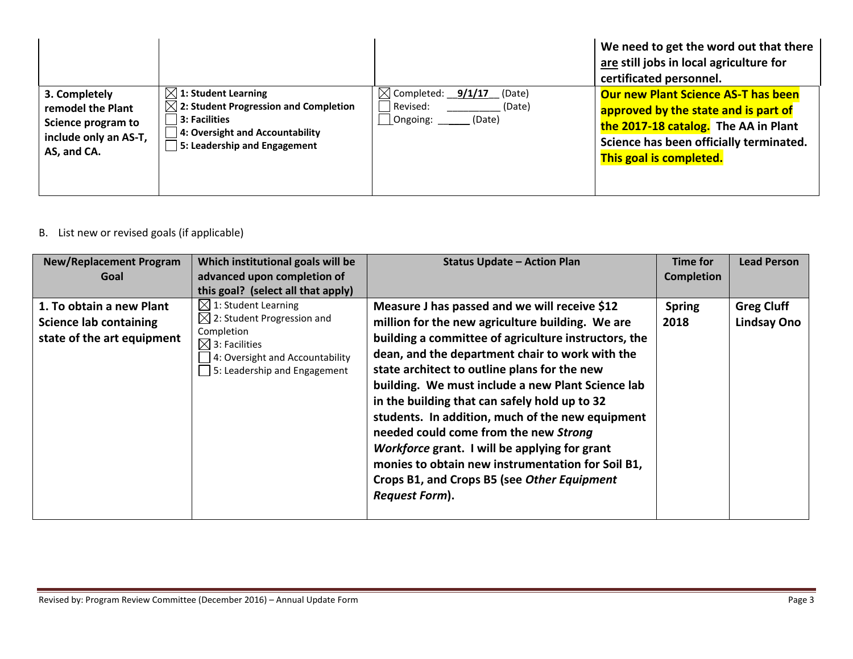|                                                                                                  |                                                                                                                                                                          |                                                                                     | We need to get the word out that there<br>are still jobs in local agriculture for<br>certificated personnel.                                                                                     |
|--------------------------------------------------------------------------------------------------|--------------------------------------------------------------------------------------------------------------------------------------------------------------------------|-------------------------------------------------------------------------------------|--------------------------------------------------------------------------------------------------------------------------------------------------------------------------------------------------|
| 3. Completely<br>remodel the Plant<br>Science program to<br>include only an AS-T,<br>AS, and CA. | $\boxtimes$ 1: Student Learning<br>$\boxtimes$ 2: Student Progression and Completion<br>3: Facilities<br>4: Oversight and Accountability<br>5: Leadership and Engagement | $\boxtimes$ Completed: 9/1/17<br>(Date)<br>Revised:<br>(Date)<br>Ongoing:<br>(Date) | <b>Our new Plant Science AS-T has been</b><br>approved by the state and is part of<br>the 2017-18 catalog. The AA in Plant<br>Science has been officially terminated.<br>This goal is completed. |

# B. List new or revised goals (if applicable)

| <b>New/Replacement Program</b><br>Goal                                                  | Which institutional goals will be<br>advanced upon completion of<br>this goal? (select all that apply)                                                                                  | <b>Status Update - Action Plan</b>                                                                                                                                                                                                                                                                                                                                                                                                                                                                                                                                                                                                            | Time for<br><b>Completion</b> | <b>Lead Person</b>                      |
|-----------------------------------------------------------------------------------------|-----------------------------------------------------------------------------------------------------------------------------------------------------------------------------------------|-----------------------------------------------------------------------------------------------------------------------------------------------------------------------------------------------------------------------------------------------------------------------------------------------------------------------------------------------------------------------------------------------------------------------------------------------------------------------------------------------------------------------------------------------------------------------------------------------------------------------------------------------|-------------------------------|-----------------------------------------|
| 1. To obtain a new Plant<br><b>Science lab containing</b><br>state of the art equipment | $\boxtimes$ 1: Student Learning<br>$\boxtimes$ 2: Student Progression and<br>Completion<br>$\boxtimes$ 3: Facilities<br>4: Oversight and Accountability<br>5: Leadership and Engagement | Measure J has passed and we will receive \$12<br>million for the new agriculture building. We are<br>building a committee of agriculture instructors, the<br>dean, and the department chair to work with the<br>state architect to outline plans for the new<br>building. We must include a new Plant Science lab<br>in the building that can safely hold up to 32<br>students. In addition, much of the new equipment<br>needed could come from the new Strong<br>Workforce grant. I will be applying for grant<br>monies to obtain new instrumentation for Soil B1,<br>Crops B1, and Crops B5 (see Other Equipment<br><b>Request Form).</b> | <b>Spring</b><br>2018         | <b>Greg Cluff</b><br><b>Lindsay Ono</b> |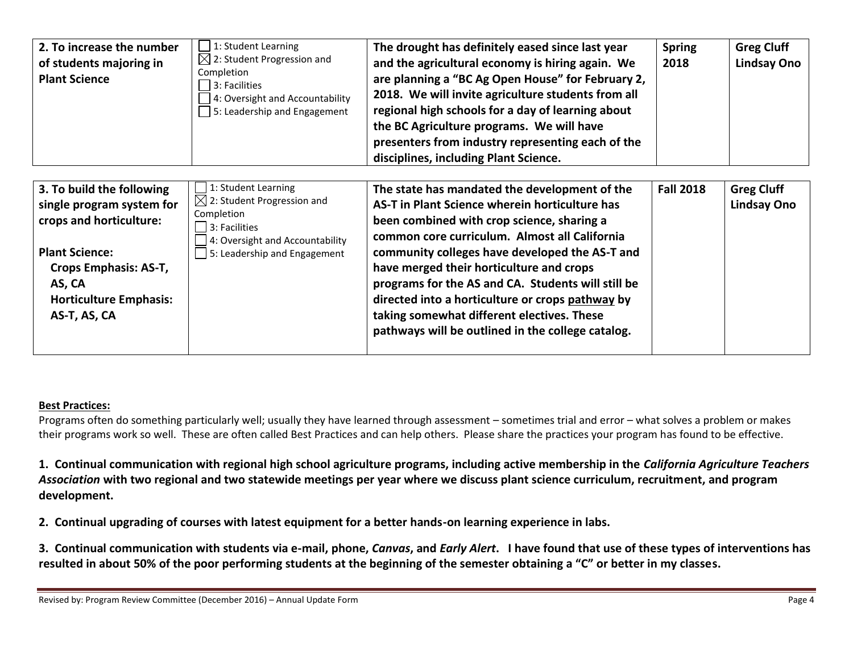| 2. To increase the number<br>of students majoring in<br><b>Plant Science</b>                                                                                                                   | 1: Student Learning<br>$\boxtimes$ 2: Student Progression and<br>Completion<br>3: Facilities<br>4: Oversight and Accountability<br>5: Leadership and Engagement               | The drought has definitely eased since last year<br>and the agricultural economy is hiring again. We<br>are planning a "BC Ag Open House" for February 2,<br>2018. We will invite agriculture students from all<br>regional high schools for a day of learning about<br>the BC Agriculture programs. We will have<br>presenters from industry representing each of the<br>disciplines, including Plant Science.                                                                                           | <b>Spring</b><br>2018 | <b>Greg Cluff</b><br><b>Lindsay Ono</b> |
|------------------------------------------------------------------------------------------------------------------------------------------------------------------------------------------------|-------------------------------------------------------------------------------------------------------------------------------------------------------------------------------|-----------------------------------------------------------------------------------------------------------------------------------------------------------------------------------------------------------------------------------------------------------------------------------------------------------------------------------------------------------------------------------------------------------------------------------------------------------------------------------------------------------|-----------------------|-----------------------------------------|
| 3. To build the following<br>single program system for<br>crops and horticulture:<br><b>Plant Science:</b><br>Crops Emphasis: AS-T,<br>AS, CA<br><b>Horticulture Emphasis:</b><br>AS-T, AS, CA | $\Box$ 1: Student Learning<br>$\boxtimes$ 2: Student Progression and<br>Completion<br>3: Facilities<br>4: Oversight and Accountability<br>$\Box$ 5: Leadership and Engagement | The state has mandated the development of the<br>AS-T in Plant Science wherein horticulture has<br>been combined with crop science, sharing a<br>common core curriculum. Almost all California<br>community colleges have developed the AS-T and<br>have merged their horticulture and crops<br>programs for the AS and CA. Students will still be<br>directed into a horticulture or crops pathway by<br>taking somewhat different electives. These<br>pathways will be outlined in the college catalog. | <b>Fall 2018</b>      | <b>Greg Cluff</b><br><b>Lindsay Ono</b> |

### **Best Practices:**

Programs often do something particularly well; usually they have learned through assessment – sometimes trial and error – what solves a problem or makes their programs work so well. These are often called Best Practices and can help others. Please share the practices your program has found to be effective.

**1. Continual communication with regional high school agriculture programs, including active membership in the** *California Agriculture Teachers Association* **with two regional and two statewide meetings per year where we discuss plant science curriculum, recruitment, and program development.**

**2. Continual upgrading of courses with latest equipment for a better hands-on learning experience in labs.**

**3. Continual communication with students via e-mail, phone,** *Canvas***, and** *Early Alert***. I have found that use of these types of interventions has resulted in about 50% of the poor performing students at the beginning of the semester obtaining a "C" or better in my classes.**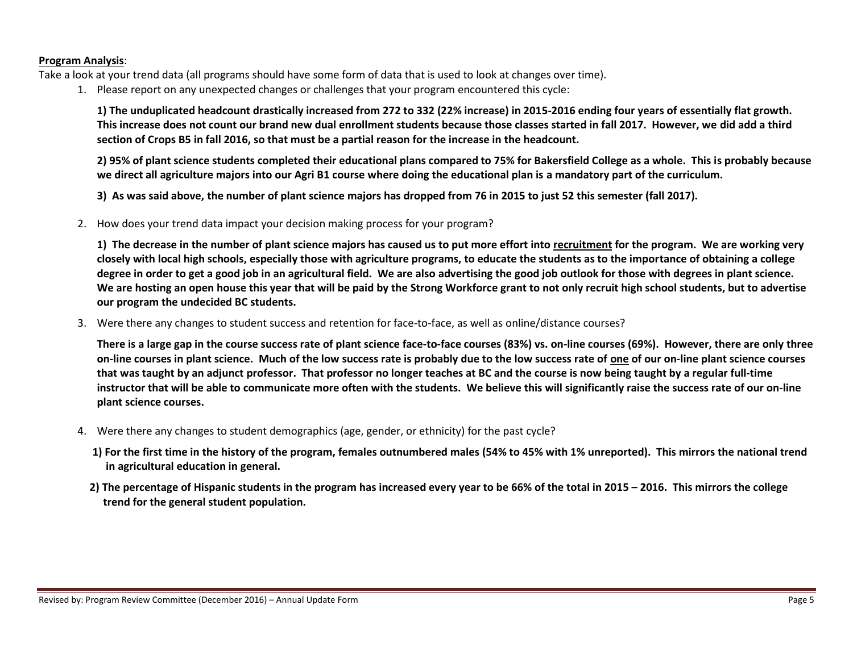#### **Program Analysis**:

Take a look at your trend data (all programs should have some form of data that is used to look at changes over time).

1. Please report on any unexpected changes or challenges that your program encountered this cycle:

**1) The unduplicated headcount drastically increased from 272 to 332 (22% increase) in 2015-2016 ending four years of essentially flat growth. This increase does not count our brand new dual enrollment students because those classes started in fall 2017. However, we did add a third section of Crops B5 in fall 2016, so that must be a partial reason for the increase in the headcount.**

**2) 95% of plant science students completed their educational plans compared to 75% for Bakersfield College as a whole. This is probably because we direct all agriculture majors into our Agri B1 course where doing the educational plan is a mandatory part of the curriculum.**

**3) As was said above, the number of plant science majors has dropped from 76 in 2015 to just 52 this semester (fall 2017).**

2. How does your trend data impact your decision making process for your program?

**1) The decrease in the number of plant science majors has caused us to put more effort into recruitment for the program. We are working very closely with local high schools, especially those with agriculture programs, to educate the students as to the importance of obtaining a college degree in order to get a good job in an agricultural field. We are also advertising the good job outlook for those with degrees in plant science. We are hosting an open house this year that will be paid by the Strong Workforce grant to not only recruit high school students, but to advertise our program the undecided BC students.**

3. Were there any changes to student success and retention for face-to-face, as well as online/distance courses?

**There is a large gap in the course success rate of plant science face-to-face courses (83%) vs. on-line courses (69%). However, there are only three on-line courses in plant science. Much of the low success rate is probably due to the low success rate of one of our on-line plant science courses that was taught by an adjunct professor. That professor no longer teaches at BC and the course is now being taught by a regular full-time instructor that will be able to communicate more often with the students. We believe this will significantly raise the success rate of our on-line plant science courses.**

- 4. Were there any changes to student demographics (age, gender, or ethnicity) for the past cycle?
	- **1) For the first time in the history of the program, females outnumbered males (54% to 45% with 1% unreported). This mirrors the national trend in agricultural education in general.**
	- **2) The percentage of Hispanic students in the program has increased every year to be 66% of the total in 2015 – 2016. This mirrors the college trend for the general student population.**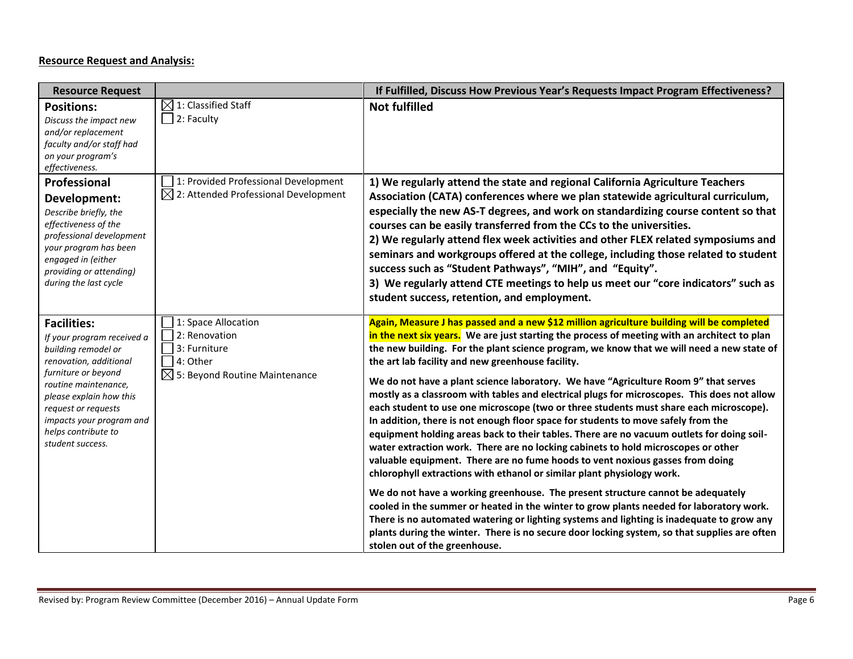## **Resource Request and Analysis:**

| <b>Resource Request</b>                                                                                                                                                                                                                                                   |                                                                                                               | If Fulfilled, Discuss How Previous Year's Requests Impact Program Effectiveness?                                                                                                                                                                                                                                                                                                                                                                                                                                                                                                                                                                                                                                                                                                                                                                                                                                                                                                                                                                                                                                                                                                                                                                                                                                                                                                                                                                                          |
|---------------------------------------------------------------------------------------------------------------------------------------------------------------------------------------------------------------------------------------------------------------------------|---------------------------------------------------------------------------------------------------------------|---------------------------------------------------------------------------------------------------------------------------------------------------------------------------------------------------------------------------------------------------------------------------------------------------------------------------------------------------------------------------------------------------------------------------------------------------------------------------------------------------------------------------------------------------------------------------------------------------------------------------------------------------------------------------------------------------------------------------------------------------------------------------------------------------------------------------------------------------------------------------------------------------------------------------------------------------------------------------------------------------------------------------------------------------------------------------------------------------------------------------------------------------------------------------------------------------------------------------------------------------------------------------------------------------------------------------------------------------------------------------------------------------------------------------------------------------------------------------|
| <b>Positions:</b><br>Discuss the impact new<br>and/or replacement<br>faculty and/or staff had<br>on your program's<br>effectiveness.                                                                                                                                      | $\boxtimes$ 1: Classified Staff<br>2: Faculty                                                                 | <b>Not fulfilled</b>                                                                                                                                                                                                                                                                                                                                                                                                                                                                                                                                                                                                                                                                                                                                                                                                                                                                                                                                                                                                                                                                                                                                                                                                                                                                                                                                                                                                                                                      |
| Professional<br>Development:<br>Describe briefly, the<br>effectiveness of the<br>professional development<br>your program has been<br>engaged in (either<br>providing or attending)<br>during the last cycle                                                              | 1: Provided Professional Development<br>$\boxtimes$ 2: Attended Professional Development                      | 1) We regularly attend the state and regional California Agriculture Teachers<br>Association (CATA) conferences where we plan statewide agricultural curriculum,<br>especially the new AS-T degrees, and work on standardizing course content so that<br>courses can be easily transferred from the CCs to the universities.<br>2) We regularly attend flex week activities and other FLEX related symposiums and<br>seminars and workgroups offered at the college, including those related to student<br>success such as "Student Pathways", "MIH", and "Equity".<br>3) We regularly attend CTE meetings to help us meet our "core indicators" such as<br>student success, retention, and employment.                                                                                                                                                                                                                                                                                                                                                                                                                                                                                                                                                                                                                                                                                                                                                                   |
| <b>Facilities:</b><br>If your program received a<br>building remodel or<br>renovation, additional<br>furniture or beyond<br>routine maintenance,<br>please explain how this<br>request or requests<br>impacts your program and<br>helps contribute to<br>student success. | 1: Space Allocation<br>2: Renovation<br>3: Furniture<br>4: Other<br>$\boxtimes$ 5: Beyond Routine Maintenance | Again, Measure J has passed and a new \$12 million agriculture building will be completed<br>in the next six years. We are just starting the process of meeting with an architect to plan<br>the new building. For the plant science program, we know that we will need a new state of<br>the art lab facility and new greenhouse facility.<br>We do not have a plant science laboratory. We have "Agriculture Room 9" that serves<br>mostly as a classroom with tables and electrical plugs for microscopes. This does not allow<br>each student to use one microscope (two or three students must share each microscope).<br>In addition, there is not enough floor space for students to move safely from the<br>equipment holding areas back to their tables. There are no vacuum outlets for doing soil-<br>water extraction work. There are no locking cabinets to hold microscopes or other<br>valuable equipment. There are no fume hoods to vent noxious gasses from doing<br>chlorophyll extractions with ethanol or similar plant physiology work.<br>We do not have a working greenhouse. The present structure cannot be adequately<br>cooled in the summer or heated in the winter to grow plants needed for laboratory work.<br>There is no automated watering or lighting systems and lighting is inadequate to grow any<br>plants during the winter. There is no secure door locking system, so that supplies are often<br>stolen out of the greenhouse. |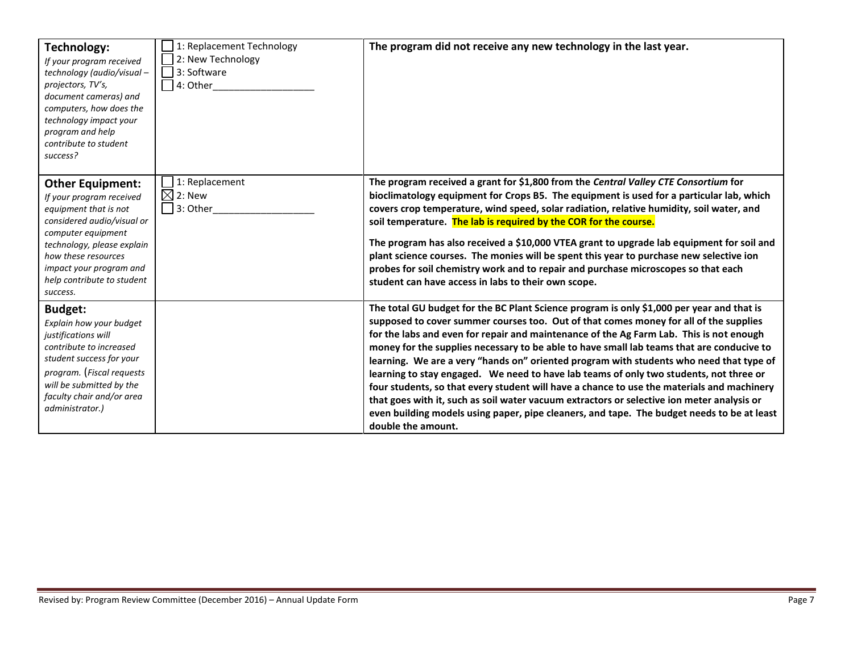| Technology:<br>If your program received<br>technology (audio/visual-<br>projectors, TV's,<br>document cameras) and<br>computers, how does the<br>technology impact your<br>program and help<br>contribute to student<br>success?                           | 1: Replacement Technology<br>2: New Technology<br>3: Software<br>4: Other | The program did not receive any new technology in the last year.                                                                                                                                                                                                                                                                                                                                                                                                                                                                                                                                                                                                                                                                                                                                                                                                                |
|------------------------------------------------------------------------------------------------------------------------------------------------------------------------------------------------------------------------------------------------------------|---------------------------------------------------------------------------|---------------------------------------------------------------------------------------------------------------------------------------------------------------------------------------------------------------------------------------------------------------------------------------------------------------------------------------------------------------------------------------------------------------------------------------------------------------------------------------------------------------------------------------------------------------------------------------------------------------------------------------------------------------------------------------------------------------------------------------------------------------------------------------------------------------------------------------------------------------------------------|
| <b>Other Equipment:</b><br>If your program received<br>equipment that is not<br>considered audio/visual or<br>computer equipment<br>technology, please explain<br>how these resources<br>impact your program and<br>help contribute to student<br>success. | 1: Replacement<br>$\boxtimes$ 2: New<br>3: Other                          | The program received a grant for \$1,800 from the Central Valley CTE Consortium for<br>bioclimatology equipment for Crops B5. The equipment is used for a particular lab, which<br>covers crop temperature, wind speed, solar radiation, relative humidity, soil water, and<br>soil temperature. The lab is required by the COR for the course.<br>The program has also received a \$10,000 VTEA grant to upgrade lab equipment for soil and<br>plant science courses. The monies will be spent this year to purchase new selective ion<br>probes for soil chemistry work and to repair and purchase microscopes so that each<br>student can have access in labs to their own scope.                                                                                                                                                                                            |
| <b>Budget:</b><br>Explain how your budget<br>justifications will<br>contribute to increased<br>student success for your<br>program. (Fiscal requests<br>will be submitted by the<br>faculty chair and/or area<br>administrator.)                           |                                                                           | The total GU budget for the BC Plant Science program is only \$1,000 per year and that is<br>supposed to cover summer courses too. Out of that comes money for all of the supplies<br>for the labs and even for repair and maintenance of the Ag Farm Lab. This is not enough<br>money for the supplies necessary to be able to have small lab teams that are conducive to<br>learning. We are a very "hands on" oriented program with students who need that type of<br>learning to stay engaged. We need to have lab teams of only two students, not three or<br>four students, so that every student will have a chance to use the materials and machinery<br>that goes with it, such as soil water vacuum extractors or selective ion meter analysis or<br>even building models using paper, pipe cleaners, and tape. The budget needs to be at least<br>double the amount. |